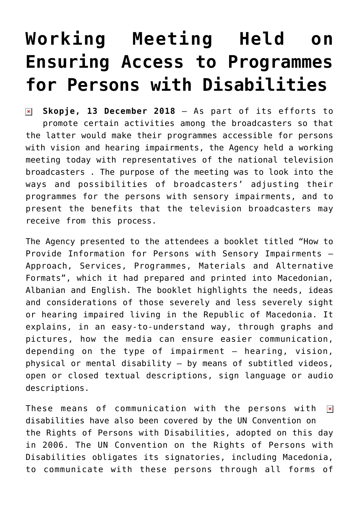## **[Working Meeting Held on](https://avmu.mk/en/2018/12/13/working-meeting-held-on-ensuring-access-to-programmes-for-persons-with-disabilities/) [Ensuring Access to Programmes](https://avmu.mk/en/2018/12/13/working-meeting-held-on-ensuring-access-to-programmes-for-persons-with-disabilities/) [for Persons with Disabilities](https://avmu.mk/en/2018/12/13/working-meeting-held-on-ensuring-access-to-programmes-for-persons-with-disabilities/)**

**Skopje, 13 December 2018** – As part of its efforts to  $\pmb{\times}$ promote certain activities among the broadcasters so that the latter would make their programmes accessible for persons with vision and hearing impairments, the Agency held a working meeting today with representatives of the national television broadcasters . The purpose of the meeting was to look into the ways and possibilities of broadcasters' adjusting their programmes for the persons with sensory impairments, and to present the benefits that the television broadcasters may receive from this process.

The Agency presented to the attendees a booklet titled "How to Provide Information for Persons with Sensory Impairments – Approach, Services, Programmes, Materials and Alternative Formats", which it had prepared and printed into Macedonian, Albanian and English. The booklet highlights the needs, ideas and considerations of those severely and less severely sight or hearing impaired living in the Republic of Macedonia. It explains, in an easy-to-understand way, through graphs and pictures, how the media can ensure easier communication, depending on the type of impairment – hearing, vision, physical or mental disability – by means of subtitled videos, open or closed textual descriptions, sign language or audio descriptions.

These means of communication with the persons with  $\pmb{\times}$ disabilities have also been covered by the UN Convention on the Rights of Persons with Disabilities, adopted on this day in 2006. The UN Convention on the Rights of Persons with Disabilities obligates its signatories, including Macedonia, to communicate with these persons through all forms of